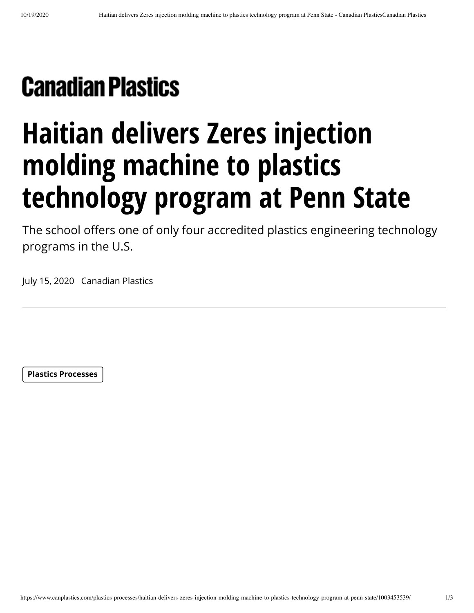## **Canadian Plastics**

## **Haitian delivers Zeres injection molding machine to plastics technology program at Penn State**

The school offers one of only four accredited plastics engineering technology programs in the U.S.

July 15, 2020 Canadian Plastics

**[Plastics Processes](https://www.canplastics.com/category/plastics-processes/)**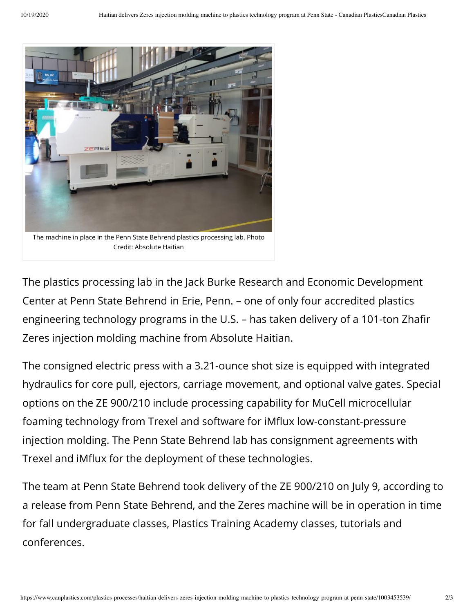

The plastics processing lab in the Jack Burke Research and Economic Development Center at Penn State Behrend in Erie, Penn. – one of only four accredited plastics engineering technology programs in the U.S. - has taken delivery of a 101-ton Zhafir Zeres injection molding machine from Absolute Haitian.

The consigned electric press with a 3.21-ounce shot size is equipped with integrated hydraulics for core pull, ejectors, carriage movement, and optional valve gates. Special options on the ZE 900/210 include processing capability for MuCell microcellular foaming technology from Trexel and software for iMflux low-constant-pressure injection molding. The Penn State Behrend lab has consignment agreements with Trexel and iMflux for the deployment of these technologies.

The team at Penn State Behrend took delivery of the ZE 900/210 on July 9, according to a release from Penn State Behrend, and the Zeres machine will be in operation in time for fall undergraduate classes, Plastics Training Academy classes, tutorials and conferences.